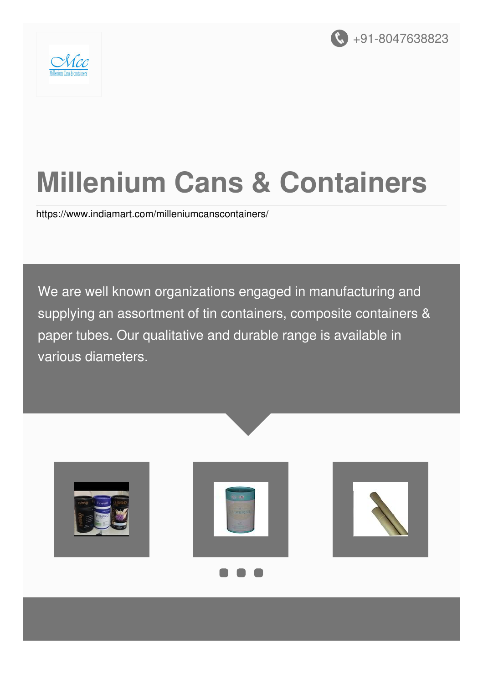



# **Millenium Cans & Containers**

<https://www.indiamart.com/milleniumcanscontainers/>

We are well known organizations engaged in manufacturing and supplying an assortment of tin containers, composite containers & paper tubes. Our qualitative and durable range is available in various diameters.

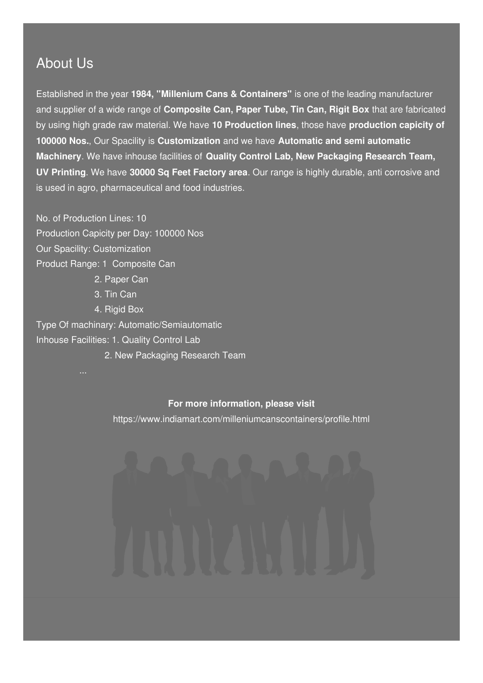#### About Us

Established in the year **1984, "Millenium Cans & Containers"** is one of the leading manufacturer and supplier of a wide range of **Composite Can, Paper Tube, Tin Can, Rigit Box** that are fabricated by using high grade raw material. We have **10 Production lines**, those have **production capicity of 100000 Nos.**, Our Spacility is **Customization** and we have **Automatic and semi automatic Machinery**. We have inhouse facilities of **Quality Control Lab, New Packaging Research Team, UV Printing**. We have **30000 Sq Feet Factory area**. Our range is highly durable, anti corrosive and is used in agro, pharmaceutical and food industries.

No. of Production Lines: 10 Production Capicity per Day: 100000 Nos Our Spacility: Customization Product Range: 1 Composite Can 2. Paper Can

3. Tin Can

4. Rigid Box

Type Of machinary: Automatic/Semiautomatic Inhouse Facilities: 1. Quality Control Lab

2. New Packaging Research Team

#### **For more information, please visit**

<https://www.indiamart.com/milleniumcanscontainers/profile.html>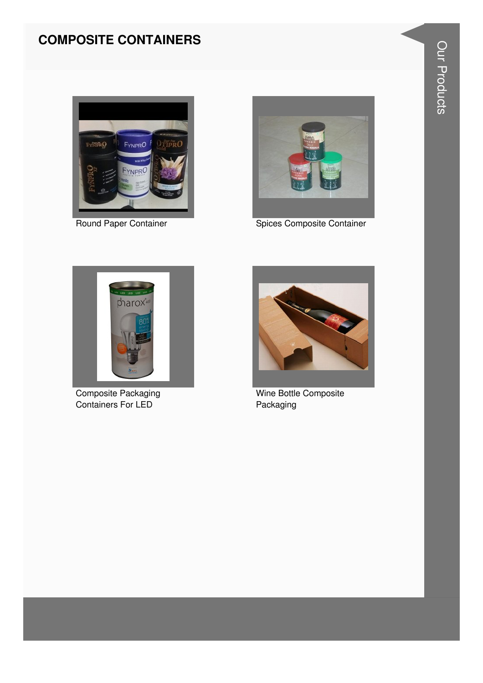#### **COMPOSITE CONTAINERS**





Round Paper Container **Spices Composite Container** 



Composite Packaging Containers For LED



Wine Bottle Composite Packaging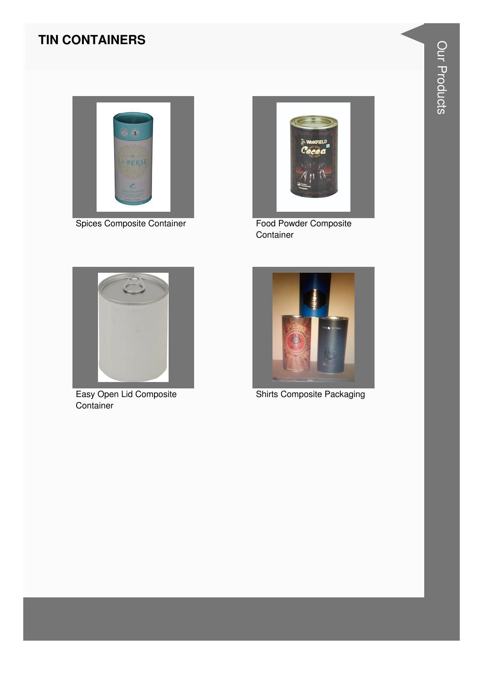#### **TIN CONTAINERS**



Spices Composite Container



Food Powder Composite Container



Easy Open Lid Composite Container



**Shirts Composite Packaging**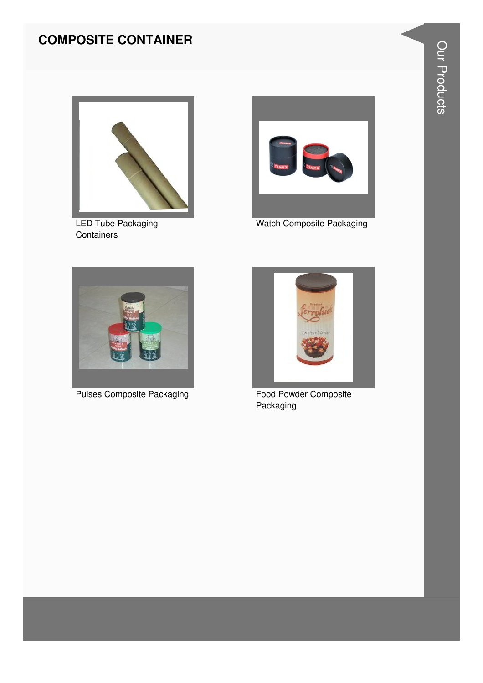#### **COMPOSITE CONTAINER**



LED Tube Packaging **Containers** 



Watch Composite Packaging



Pulses Composite Packaging Food Powder Composite



Packaging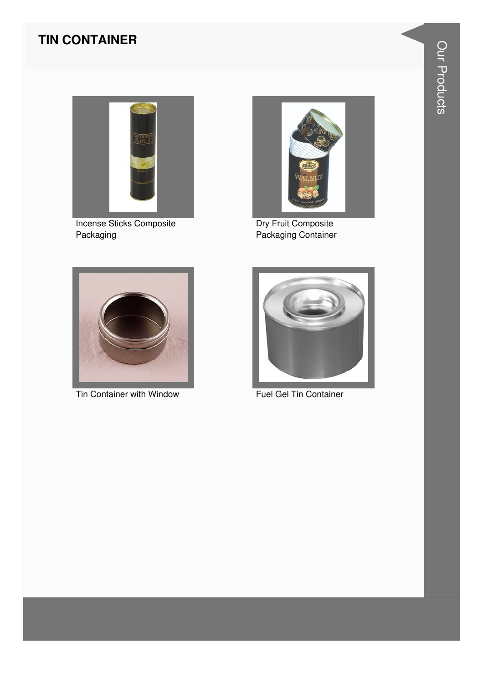#### **TIN CONTAINER**



**Incense Sticks Composite** Packaging



Dry Fruit Composite<br>Packaging Container



Tin Container with Window



Fuel Gel Tin Container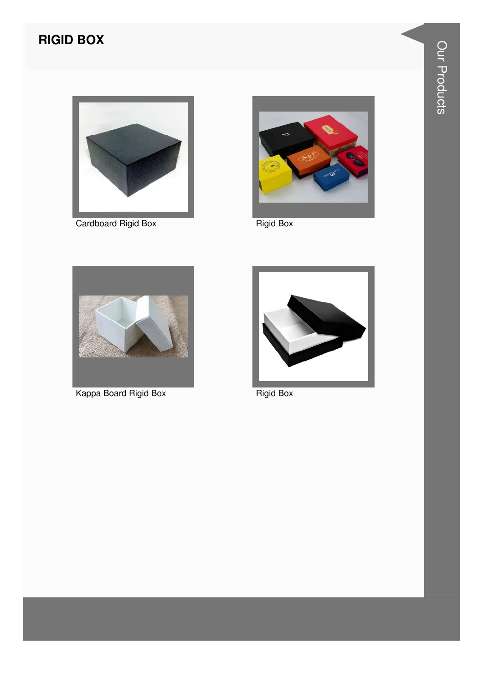### **RIGID BOX**



Cardboard Rigid Box



Rigid Box



Kappa Board Rigid Box



**Rigid Box**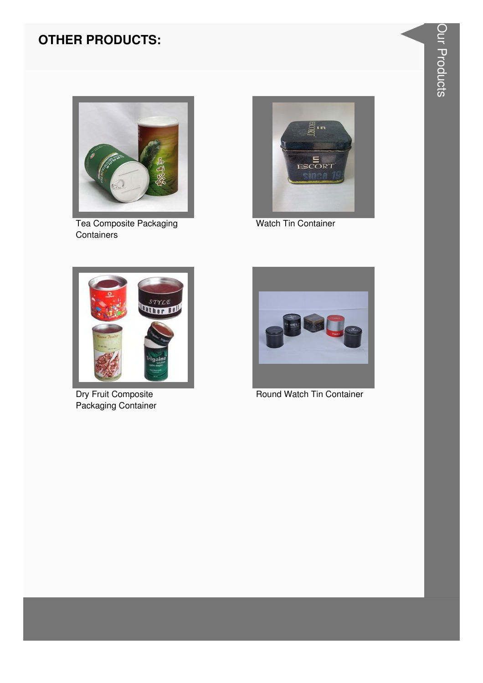#### **OTHER PRODUCTS:**



Tea Composite Packaging Containers



Watch Tin Container



Dry Fruit Composite Packaging Container



Round Watch Tin Container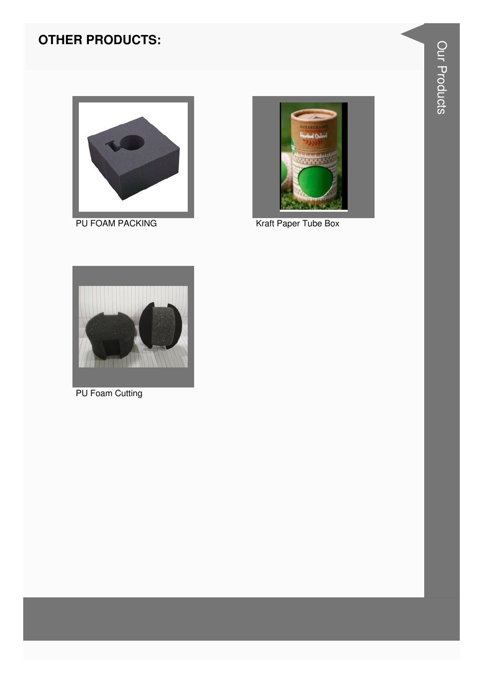#### **OTHER PRODUCTS:**



PU FOAM PACKING



Kraft Paper Tube Box



PU Foam Cutting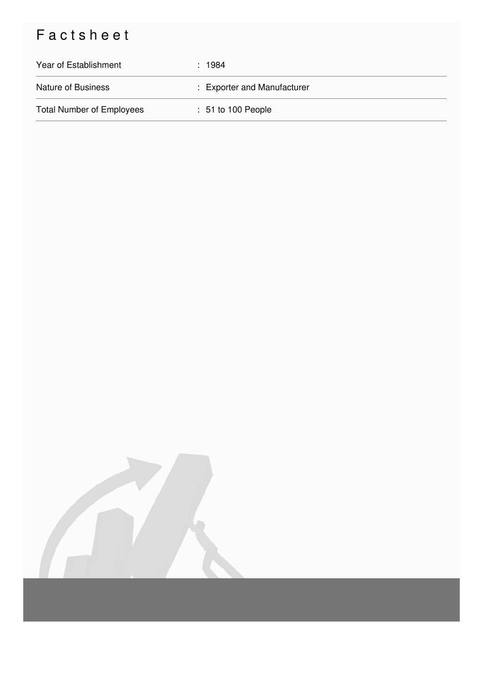## Factsheet

| Year of Establishment            | : 1984                        |
|----------------------------------|-------------------------------|
| <b>Nature of Business</b>        | : Exporter and Manufacturer   |
| <b>Total Number of Employees</b> | $\therefore$ 51 to 100 People |